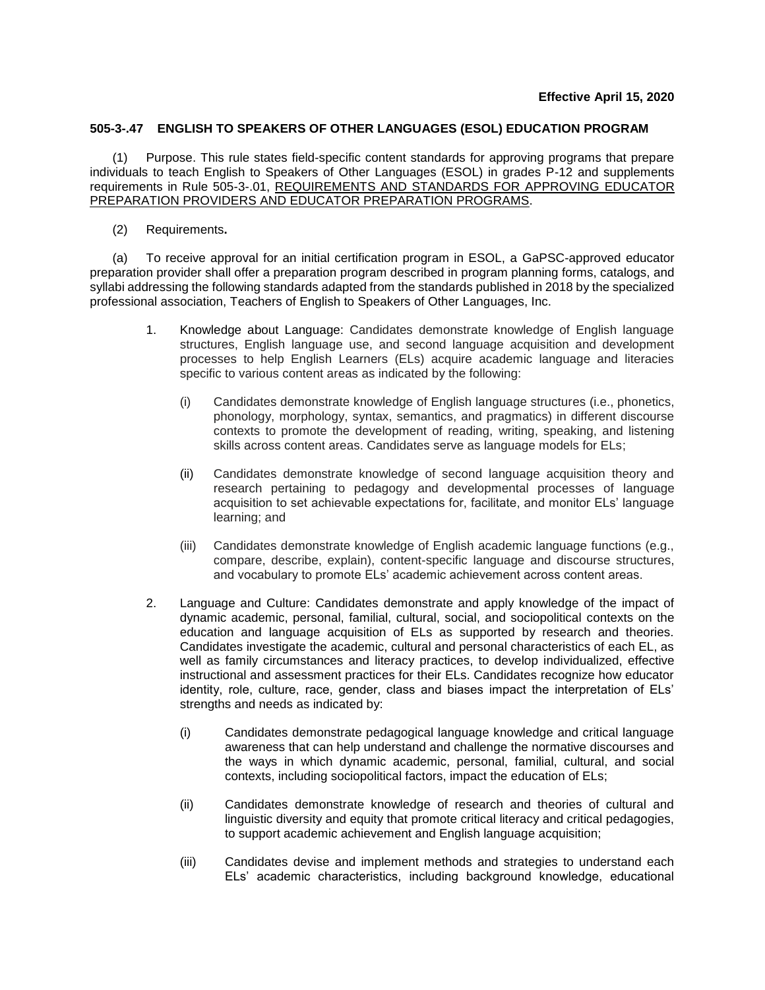## **505-3-.47 ENGLISH TO SPEAKERS OF OTHER LANGUAGES (ESOL) EDUCATION PROGRAM**

(1) Purpose. This rule states field-specific content standards for approving programs that prepare individuals to teach English to Speakers of Other Languages (ESOL) in grades P-12 and supplements requirements in Rule 505-3-.01, REQUIREMENTS AND STANDARDS FOR APPROVING EDUCATOR PREPARATION PROVIDERS AND EDUCATOR PREPARATION PROGRAMS.

(2) Requirements**.**

(a) To receive approval for an initial certification program in ESOL, a GaPSC-approved educator preparation provider shall offer a preparation program described in program planning forms, catalogs, and syllabi addressing the following standards adapted from the standards published in 2018 by the specialized professional association, Teachers of English to Speakers of Other Languages, Inc.

- 1. Knowledge about Language: Candidates demonstrate knowledge of English language structures, English language use, and second language acquisition and development processes to help English Learners (ELs) acquire academic language and literacies specific to various content areas as indicated by the following:
	- (i) Candidates demonstrate knowledge of English language structures (i.e., phonetics, phonology, morphology, syntax, semantics, and pragmatics) in different discourse contexts to promote the development of reading, writing, speaking, and listening skills across content areas. Candidates serve as language models for ELs;
	- (ii) Candidates demonstrate knowledge of second language acquisition theory and research pertaining to pedagogy and developmental processes of language acquisition to set achievable expectations for, facilitate, and monitor ELs' language learning; and
	- (iii) Candidates demonstrate knowledge of English academic language functions (e.g., compare, describe, explain), content-specific language and discourse structures, and vocabulary to promote ELs' academic achievement across content areas.
- 2. Language and Culture: Candidates demonstrate and apply knowledge of the impact of dynamic academic, personal, familial, cultural, social, and sociopolitical contexts on the education and language acquisition of ELs as supported by research and theories. Candidates investigate the academic, cultural and personal characteristics of each EL, as well as family circumstances and literacy practices, to develop individualized, effective instructional and assessment practices for their ELs. Candidates recognize how educator identity, role, culture, race, gender, class and biases impact the interpretation of ELs' strengths and needs as indicated by:
	- (i) Candidates demonstrate pedagogical language knowledge and critical language awareness that can help understand and challenge the normative discourses and the ways in which dynamic academic, personal, familial, cultural, and social contexts, including sociopolitical factors, impact the education of ELs;
	- (ii) Candidates demonstrate knowledge of research and theories of cultural and linguistic diversity and equity that promote critical literacy and critical pedagogies, to support academic achievement and English language acquisition;
	- (iii) Candidates devise and implement methods and strategies to understand each ELs' academic characteristics, including background knowledge, educational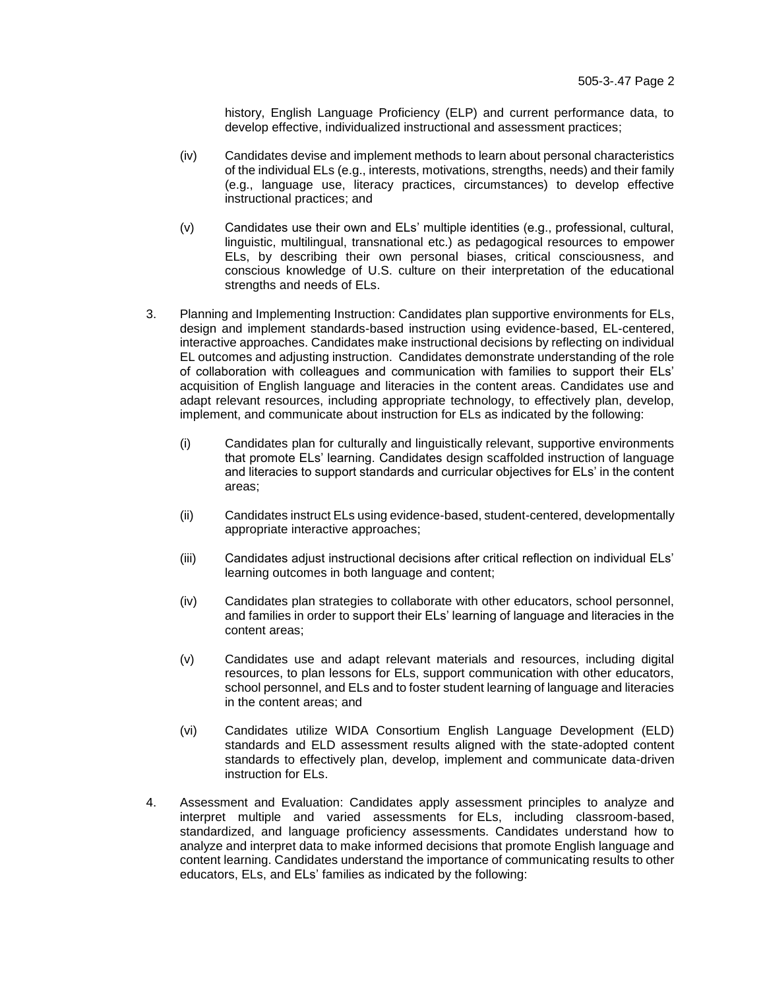history, English Language Proficiency (ELP) and current performance data, to develop effective, individualized instructional and assessment practices;

- (iv) Candidates devise and implement methods to learn about personal characteristics of the individual ELs (e.g., interests, motivations, strengths, needs) and their family (e.g., language use, literacy practices, circumstances) to develop effective instructional practices; and
- (v) Candidates use their own and ELs' multiple identities (e.g., professional, cultural, linguistic, multilingual, transnational etc.) as pedagogical resources to empower ELs, by describing their own personal biases, critical consciousness, and conscious knowledge of U.S. culture on their interpretation of the educational strengths and needs of ELs.
- 3. Planning and Implementing Instruction: Candidates plan supportive environments for ELs, design and implement standards-based instruction using evidence-based, EL-centered, interactive approaches. Candidates make instructional decisions by reflecting on individual EL outcomes and adjusting instruction. Candidates demonstrate understanding of the role of collaboration with colleagues and communication with families to support their ELs' acquisition of English language and literacies in the content areas. Candidates use and adapt relevant resources, including appropriate technology, to effectively plan, develop, implement, and communicate about instruction for ELs as indicated by the following:
	- (i) Candidates plan for culturally and linguistically relevant, supportive environments that promote ELs' learning. Candidates design scaffolded instruction of language and literacies to support standards and curricular objectives for ELs' in the content areas;
	- (ii) Candidates instruct ELs using evidence-based, student-centered, developmentally appropriate interactive approaches;
	- (iii) Candidates adjust instructional decisions after critical reflection on individual ELs' learning outcomes in both language and content;
	- (iv) Candidates plan strategies to collaborate with other educators, school personnel, and families in order to support their ELs' learning of language and literacies in the content areas;
	- (v) Candidates use and adapt relevant materials and resources, including digital resources, to plan lessons for ELs, support communication with other educators, school personnel, and ELs and to foster student learning of language and literacies in the content areas; and
	- (vi) Candidates utilize WIDA Consortium English Language Development (ELD) standards and ELD assessment results aligned with the state-adopted content standards to effectively plan, develop, implement and communicate data-driven instruction for ELs.
- 4. Assessment and Evaluation: Candidates apply assessment principles to analyze and interpret multiple and varied assessments for ELs, including classroom-based, standardized, and language proficiency assessments. Candidates understand how to analyze and interpret data to make informed decisions that promote English language and content learning. Candidates understand the importance of communicating results to other educators, ELs, and ELs' families as indicated by the following: